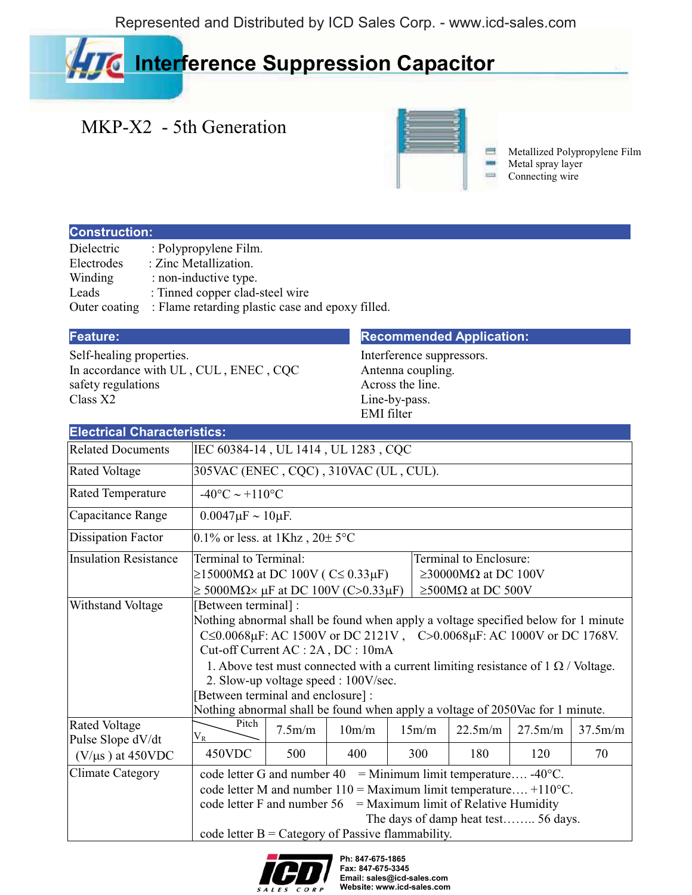Represented and Distributed by ICD Sales Corp. - www.icd-sales.com

# **Interference Suppression Capacitor**

## MKP-X2 - 5th Generation



Metallized Polypropylene Film Metal spray layer Connecting wire

### **Construction:**

| Dielectric    | : Polypropylene Film.                            |
|---------------|--------------------------------------------------|
| Electrodes    | : Zinc Metallization.                            |
| Winding       | : non-inductive type.                            |
| Leads         | : Tinned copper clad-steel wire                  |
| Outer coating | : Flame retarding plastic case and epoxy filled. |

Self-healing properties. In accordance with UL , CUL , ENEC , CQC safety regulations Class X2

### **Feature: Recommended Application:**

Interference suppressors. Antenna coupling. Across the line. Line-by-pass. EMI filter

| <b>Electrical Characteristics:</b>        |                                                                                                                                                                                                                                                                                                                                   |                                                                                                                                                                                                                                                                                                                                                                                                                                                                                       |       |  |       |         |         |         |  |  |  |
|-------------------------------------------|-----------------------------------------------------------------------------------------------------------------------------------------------------------------------------------------------------------------------------------------------------------------------------------------------------------------------------------|---------------------------------------------------------------------------------------------------------------------------------------------------------------------------------------------------------------------------------------------------------------------------------------------------------------------------------------------------------------------------------------------------------------------------------------------------------------------------------------|-------|--|-------|---------|---------|---------|--|--|--|
| <b>Related Documents</b>                  | IEC 60384-14, UL 1414, UL 1283, CQC                                                                                                                                                                                                                                                                                               |                                                                                                                                                                                                                                                                                                                                                                                                                                                                                       |       |  |       |         |         |         |  |  |  |
| <b>Rated Voltage</b>                      | 305VAC (ENEC, CQC), 310VAC (UL, CUL).                                                                                                                                                                                                                                                                                             |                                                                                                                                                                                                                                                                                                                                                                                                                                                                                       |       |  |       |         |         |         |  |  |  |
| <b>Rated Temperature</b>                  |                                                                                                                                                                                                                                                                                                                                   | $-40^{\circ}$ C ~ +110 <sup>o</sup> C                                                                                                                                                                                                                                                                                                                                                                                                                                                 |       |  |       |         |         |         |  |  |  |
| Capacitance Range                         | $0.0047 \mu F \sim 10 \mu F$ .                                                                                                                                                                                                                                                                                                    |                                                                                                                                                                                                                                                                                                                                                                                                                                                                                       |       |  |       |         |         |         |  |  |  |
| <b>Dissipation Factor</b>                 |                                                                                                                                                                                                                                                                                                                                   | 0.1% or less. at 1Khz, $20 \pm 5$ °C                                                                                                                                                                                                                                                                                                                                                                                                                                                  |       |  |       |         |         |         |  |  |  |
| <b>Insulation Resistance</b>              | Terminal to Terminal:<br>Terminal to Enclosure:<br>$\geq$ 15000MΩ at DC 100V (C≤ 0.33μF)<br>$\geq$ 30000MΩ at DC 100V<br>$\geq$ 5000M $\Omega \times \mu$ F at DC 100V (C>0.33 $\mu$ F)<br>$\geq$ 500MΩ at DC 500V                                                                                                                |                                                                                                                                                                                                                                                                                                                                                                                                                                                                                       |       |  |       |         |         |         |  |  |  |
| Withstand Voltage                         |                                                                                                                                                                                                                                                                                                                                   | [Between terminal] :<br>Nothing abnormal shall be found when apply a voltage specified below for 1 minute<br>C ≤ 0.0068μF: AC 1500V or DC 2121V, C > 0.0068μF: AC 1000V or DC 1768V.<br>Cut-off Current AC : 2A, DC : 10mA<br>1. Above test must connected with a current limiting resistance of $1 \Omega$ / Voltage.<br>2. Slow-up voltage speed : 100V/sec.<br>[Between terminal and enclosure] :<br>Nothing abnormal shall be found when apply a voltage of 2050Vac for 1 minute. |       |  |       |         |         |         |  |  |  |
| <b>Rated Voltage</b><br>Pulse Slope dV/dt | Pitch<br>$\rm V_R$                                                                                                                                                                                                                                                                                                                | 7.5m/m                                                                                                                                                                                                                                                                                                                                                                                                                                                                                | 10m/m |  | 15m/m | 22.5m/m | 27.5m/m | 37.5m/m |  |  |  |
| $(V/\mu s)$ at 450VDC                     | 450VDC                                                                                                                                                                                                                                                                                                                            | 500                                                                                                                                                                                                                                                                                                                                                                                                                                                                                   | 400   |  | 300   | 180     | 120     | 70      |  |  |  |
| <b>Climate Category</b>                   | = Minimum limit temperature -40 $^{\circ}$ C.<br>code letter G and number 40<br>code letter M and number $110 =$ Maximum limit temperature +110 $^{\circ}$ C.<br>code letter F and number $56 =$ Maximum limit of Relative Humidity<br>The days of damp heat test 56 days.<br>code letter $B =$ Category of Passive flammability. |                                                                                                                                                                                                                                                                                                                                                                                                                                                                                       |       |  |       |         |         |         |  |  |  |